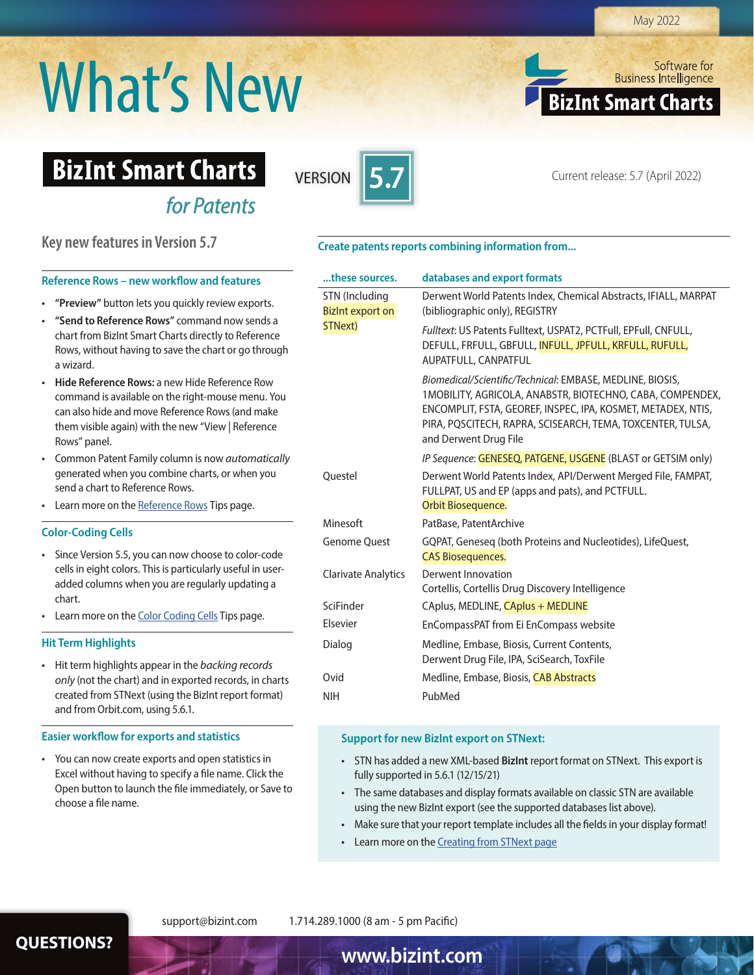# May 2022

# What's New

Software for **Business Intelligence BizInt Smart Charts** 

# **BizInt Smart Charts**

*for Patents*



Current release: 5.7 (April 2022) VERSION **5**

# **Key new features in Version 5.7**

# **Reference Rows – new workflow and features**

- **"Preview"** button lets you quickly review exports.
- **"Send to Reference Rows"** command now sends a chart from BizInt Smart Charts directly to Reference Rows, without having to save the chart or go through a wizard.
- **Hide Reference Rows:** a new Hide Reference Row command is available on the right-mouse menu. You can also hide and move Reference Rows (and make them visible again) with the new "View | Reference Rows" panel.
- Common Patent Family column is now *automatically* generated when you combine charts, or when you send a chart to Reference Rows.
- Learn more on the Reference Rows Tips page.

# **Color-Coding Cells**

- Since Version 5.5, you can now choose to color-code cells in eight colors. This is particularly useful in useradded columns when you are regularly updating a chart.
- Learn more on the Color Coding Cells Tips page.

# **Hit Term Highlights**

• Hit term highlights appear in the *backing records only* (not the chart) and in exported records, in charts created from STNext (using the BizInt report format) and from Orbit.com, using 5.6.1.

# **Easier workflow for exports and statistics**

• You can now create exports and open statistics in Excel without having to specify a file name. Click the Open button to launch the file immediately, or Save to choose a file name.

# **Create patents reports combining information from...**

| these sources.                                       | databases and export formats                                                                                                                                                                                                                                                  |
|------------------------------------------------------|-------------------------------------------------------------------------------------------------------------------------------------------------------------------------------------------------------------------------------------------------------------------------------|
| STN (Including<br><b>Bizint export on</b><br>STNext) | Derwent World Patents Index, Chemical Abstracts, IFIALL, MARPAT<br>(bibliographic only), REGISTRY                                                                                                                                                                             |
|                                                      | Fulltext: US Patents Fulltext, USPAT2, PCTFull, EPFull, CNFULL,<br>DEFULL, FRFULL, GBFULL, INFULL, JPFULL, KRFULL, RUFULL,<br>AUPATFULL, CANPATFUL                                                                                                                            |
|                                                      | Biomedical/Scientific/Technical: EMBASE, MEDLINE, BIOSIS,<br>1MOBILITY, AGRICOLA, ANABSTR, BIOTECHNO, CABA, COMPENDEX,<br>ENCOMPLIT, FSTA, GEOREF, INSPEC, IPA, KOSMET, METADEX, NTIS,<br>PIRA, POSCITECH, RAPRA, SCISEARCH, TEMA, TOXCENTER, TULSA,<br>and Derwent Drug File |
|                                                      | IP Sequence: GENESEQ, PATGENE, USGENE (BLAST or GETSIM only)                                                                                                                                                                                                                  |
| Questel                                              | Derwent World Patents Index, API/Derwent Merged File, FAMPAT,<br>FULLPAT, US and EP (apps and pats), and PCTFULL.<br>Orbit Biosequence.                                                                                                                                       |
| Minesoft                                             | PatBase, PatentArchive                                                                                                                                                                                                                                                        |
| <b>Genome Quest</b>                                  | GQPAT, Geneseq (both Proteins and Nucleotides), LifeQuest,<br><b>CAS Biosequences.</b>                                                                                                                                                                                        |
| <b>Clarivate Analytics</b>                           | Derwent Innovation<br>Cortellis, Cortellis Drug Discovery Intelligence                                                                                                                                                                                                        |
| SciFinder                                            | CAplus, MEDLINE, CAplus + MEDLINE                                                                                                                                                                                                                                             |
| Elsevier                                             | EnCompassPAT from Ei EnCompass website                                                                                                                                                                                                                                        |
| Dialog                                               | Medline, Embase, Biosis, Current Contents,<br>Derwent Drug File, IPA, SciSearch, ToxFile                                                                                                                                                                                      |
| Ovid                                                 | Medline, Embase, Biosis, CAB Abstracts                                                                                                                                                                                                                                        |
| <b>NIH</b>                                           | PubMed                                                                                                                                                                                                                                                                        |

# **Support for new BizInt export on STNext:**

- STN has added a new XML-based **BizInt** report format on STNext. This export is fully supported in 5.6.1 (12/15/21)
- The same databases and display formats available on classic STN are available using the new BizInt export (see the supported databases list above).
- Make sure that your report template includes all the fields in your display format!
- Learn more on the Creating from STNext page

support@bizint.com 1.714.289.1000 (8 am - 5 pm Pacific)

**QUESTIONS? www.bizint.com**